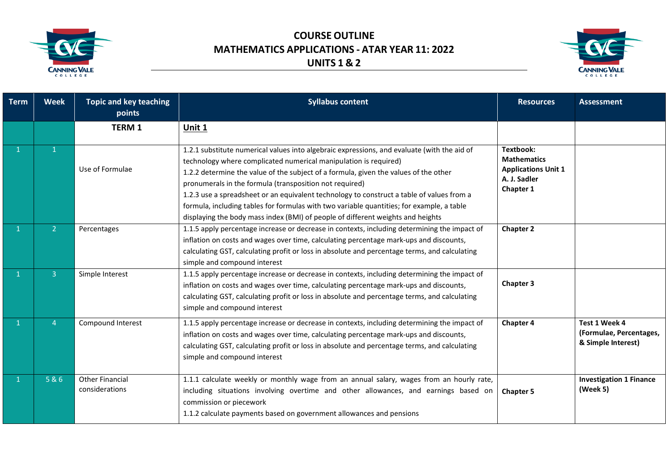



| <b>Term</b> | <b>Week</b>    | <b>Topic and key teaching</b><br>points  | <b>Syllabus content</b>                                                                                                                                                                                                                                                                                                                                                                                                                                                                                                                                                                         | <b>Resources</b>                                                                           | <b>Assessment</b>                                              |
|-------------|----------------|------------------------------------------|-------------------------------------------------------------------------------------------------------------------------------------------------------------------------------------------------------------------------------------------------------------------------------------------------------------------------------------------------------------------------------------------------------------------------------------------------------------------------------------------------------------------------------------------------------------------------------------------------|--------------------------------------------------------------------------------------------|----------------------------------------------------------------|
|             |                | <b>TERM 1</b>                            | Unit 1                                                                                                                                                                                                                                                                                                                                                                                                                                                                                                                                                                                          |                                                                                            |                                                                |
|             | $\mathbf{1}$   | Use of Formulae                          | 1.2.1 substitute numerical values into algebraic expressions, and evaluate (with the aid of<br>technology where complicated numerical manipulation is required)<br>1.2.2 determine the value of the subject of a formula, given the values of the other<br>pronumerals in the formula (transposition not required)<br>1.2.3 use a spreadsheet or an equivalent technology to construct a table of values from a<br>formula, including tables for formulas with two variable quantities; for example, a table<br>displaying the body mass index (BMI) of people of different weights and heights | Textbook:<br><b>Mathematics</b><br><b>Applications Unit 1</b><br>A. J. Sadler<br>Chapter 1 |                                                                |
|             | 2 <sup>1</sup> | Percentages                              | 1.1.5 apply percentage increase or decrease in contexts, including determining the impact of<br>inflation on costs and wages over time, calculating percentage mark-ups and discounts,<br>calculating GST, calculating profit or loss in absolute and percentage terms, and calculating<br>simple and compound interest                                                                                                                                                                                                                                                                         | <b>Chapter 2</b>                                                                           |                                                                |
|             | $\overline{3}$ | Simple Interest                          | 1.1.5 apply percentage increase or decrease in contexts, including determining the impact of<br>inflation on costs and wages over time, calculating percentage mark-ups and discounts,<br>calculating GST, calculating profit or loss in absolute and percentage terms, and calculating<br>simple and compound interest                                                                                                                                                                                                                                                                         | <b>Chapter 3</b>                                                                           |                                                                |
|             | 4              | Compound Interest                        | 1.1.5 apply percentage increase or decrease in contexts, including determining the impact of<br>inflation on costs and wages over time, calculating percentage mark-ups and discounts,<br>calculating GST, calculating profit or loss in absolute and percentage terms, and calculating<br>simple and compound interest                                                                                                                                                                                                                                                                         | Chapter 4                                                                                  | Test 1 Week 4<br>(Formulae, Percentages,<br>& Simple Interest) |
|             | 5&6            | <b>Other Financial</b><br>considerations | 1.1.1 calculate weekly or monthly wage from an annual salary, wages from an hourly rate,<br>including situations involving overtime and other allowances, and earnings based on<br>commission or piecework<br>1.1.2 calculate payments based on government allowances and pensions                                                                                                                                                                                                                                                                                                              | <b>Chapter 5</b>                                                                           | <b>Investigation 1 Finance</b><br>(Week 5)                     |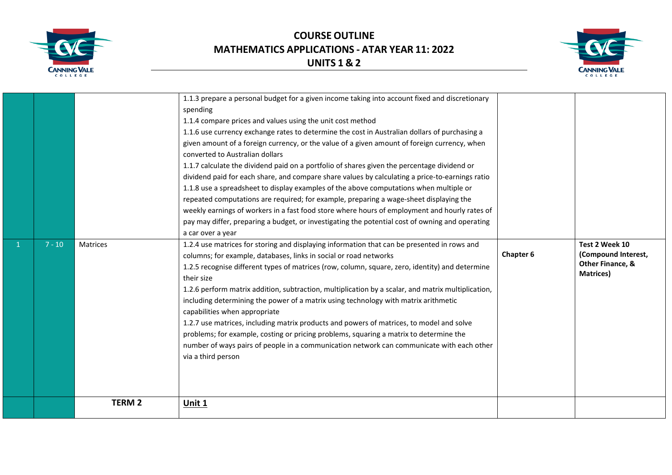

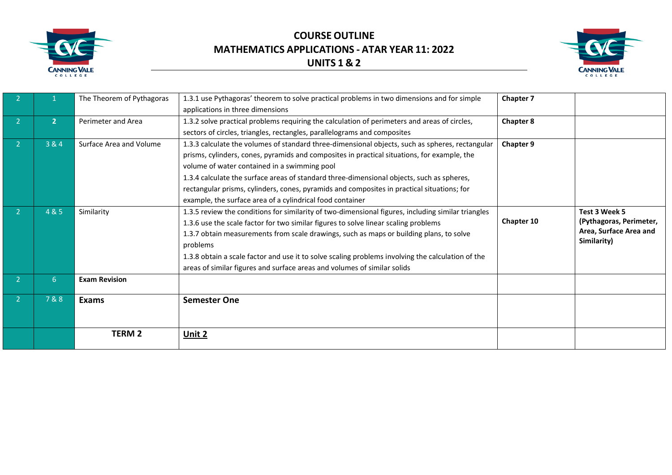



|                |                | The Theorem of Pythagoras | 1.3.1 use Pythagoras' theorem to solve practical problems in two dimensions and for simple         | <b>Chapter 7</b> |                         |
|----------------|----------------|---------------------------|----------------------------------------------------------------------------------------------------|------------------|-------------------------|
|                |                |                           | applications in three dimensions                                                                   |                  |                         |
|                | $\overline{2}$ | Perimeter and Area        | 1.3.2 solve practical problems requiring the calculation of perimeters and areas of circles,       | <b>Chapter 8</b> |                         |
|                |                |                           | sectors of circles, triangles, rectangles, parallelograms and composites                           |                  |                         |
| $\overline{2}$ | 3 & 4          | Surface Area and Volume   | 1.3.3 calculate the volumes of standard three-dimensional objects, such as spheres, rectangular    | Chapter 9        |                         |
|                |                |                           | prisms, cylinders, cones, pyramids and composites in practical situations, for example, the        |                  |                         |
|                |                |                           | volume of water contained in a swimming pool                                                       |                  |                         |
|                |                |                           | 1.3.4 calculate the surface areas of standard three-dimensional objects, such as spheres,          |                  |                         |
|                |                |                           | rectangular prisms, cylinders, cones, pyramids and composites in practical situations; for         |                  |                         |
|                |                |                           | example, the surface area of a cylindrical food container                                          |                  |                         |
|                | 4 & 5          | Similarity                | 1.3.5 review the conditions for similarity of two-dimensional figures, including similar triangles |                  | Test 3 Week 5           |
|                |                |                           | 1.3.6 use the scale factor for two similar figures to solve linear scaling problems                | Chapter 10       | (Pythagoras, Perimeter, |
|                |                |                           | 1.3.7 obtain measurements from scale drawings, such as maps or building plans, to solve            |                  | Area, Surface Area and  |
|                |                |                           | problems                                                                                           |                  | Similarity)             |
|                |                |                           | 1.3.8 obtain a scale factor and use it to solve scaling problems involving the calculation of the  |                  |                         |
|                |                |                           | areas of similar figures and surface areas and volumes of similar solids                           |                  |                         |
| $\overline{2}$ | 6              | <b>Exam Revision</b>      |                                                                                                    |                  |                         |
|                | 7&8            |                           |                                                                                                    |                  |                         |
|                |                | <b>Exams</b>              | <b>Semester One</b>                                                                                |                  |                         |
|                |                |                           |                                                                                                    |                  |                         |
|                |                | <b>TERM 2</b>             | Unit 2                                                                                             |                  |                         |
|                |                |                           |                                                                                                    |                  |                         |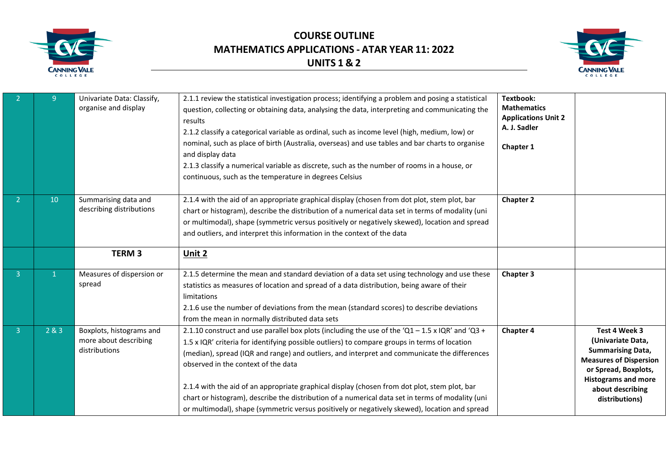



|                | 9               | Univariate Data: Classify,<br>organise and display                 | 2.1.1 review the statistical investigation process; identifying a problem and posing a statistical<br>question, collecting or obtaining data, analysing the data, interpreting and communicating the<br>results<br>2.1.2 classify a categorical variable as ordinal, such as income level (high, medium, low) or<br>nominal, such as place of birth (Australia, overseas) and use tables and bar charts to organise<br>and display data<br>2.1.3 classify a numerical variable as discrete, such as the number of rooms in a house, or<br>continuous, such as the temperature in degrees Celsius                                              | Textbook:<br><b>Mathematics</b><br><b>Applications Unit 2</b><br>A. J. Sadler<br>Chapter 1 |                                                                                                                                                                                             |
|----------------|-----------------|--------------------------------------------------------------------|-----------------------------------------------------------------------------------------------------------------------------------------------------------------------------------------------------------------------------------------------------------------------------------------------------------------------------------------------------------------------------------------------------------------------------------------------------------------------------------------------------------------------------------------------------------------------------------------------------------------------------------------------|--------------------------------------------------------------------------------------------|---------------------------------------------------------------------------------------------------------------------------------------------------------------------------------------------|
| -2             | 10 <sup>°</sup> | Summarising data and<br>describing distributions                   | 2.1.4 with the aid of an appropriate graphical display (chosen from dot plot, stem plot, bar<br>chart or histogram), describe the distribution of a numerical data set in terms of modality (uni<br>or multimodal), shape (symmetric versus positively or negatively skewed), location and spread<br>and outliers, and interpret this information in the context of the data                                                                                                                                                                                                                                                                  | Chapter 2                                                                                  |                                                                                                                                                                                             |
|                |                 | <b>TERM3</b>                                                       | Unit 2                                                                                                                                                                                                                                                                                                                                                                                                                                                                                                                                                                                                                                        |                                                                                            |                                                                                                                                                                                             |
| $\overline{3}$ | $\mathbf{1}$    | Measures of dispersion or<br>spread                                | 2.1.5 determine the mean and standard deviation of a data set using technology and use these<br>statistics as measures of location and spread of a data distribution, being aware of their<br>limitations<br>2.1.6 use the number of deviations from the mean (standard scores) to describe deviations<br>from the mean in normally distributed data sets                                                                                                                                                                                                                                                                                     | Chapter 3                                                                                  |                                                                                                                                                                                             |
| $\overline{3}$ | 2&83            | Boxplots, histograms and<br>more about describing<br>distributions | 2.1.10 construct and use parallel box plots (including the use of the 'Q1 - 1.5 x IQR' and 'Q3 +<br>1.5 x IQR' criteria for identifying possible outliers) to compare groups in terms of location<br>(median), spread (IQR and range) and outliers, and interpret and communicate the differences<br>observed in the context of the data<br>2.1.4 with the aid of an appropriate graphical display (chosen from dot plot, stem plot, bar<br>chart or histogram), describe the distribution of a numerical data set in terms of modality (uni<br>or multimodal), shape (symmetric versus positively or negatively skewed), location and spread | Chapter 4                                                                                  | Test 4 Week 3<br>(Univariate Data,<br><b>Summarising Data,</b><br><b>Measures of Dispersion</b><br>or Spread, Boxplots,<br><b>Histograms and more</b><br>about describing<br>distributions) |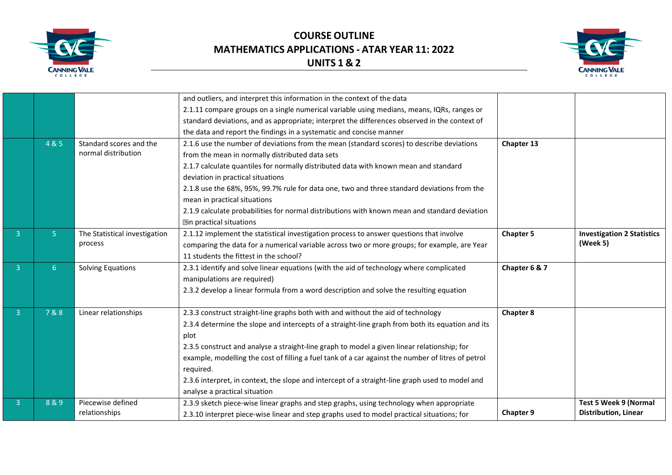



|                |       |                               | and outliers, and interpret this information in the context of the data                            |                  |                                   |
|----------------|-------|-------------------------------|----------------------------------------------------------------------------------------------------|------------------|-----------------------------------|
|                |       |                               | 2.1.11 compare groups on a single numerical variable using medians, means, IQRs, ranges or         |                  |                                   |
|                |       |                               | standard deviations, and as appropriate; interpret the differences observed in the context of      |                  |                                   |
|                |       |                               | the data and report the findings in a systematic and concise manner                                |                  |                                   |
|                | 4 & 5 | Standard scores and the       | 2.1.6 use the number of deviations from the mean (standard scores) to describe deviations          | Chapter 13       |                                   |
|                |       | normal distribution           | from the mean in normally distributed data sets                                                    |                  |                                   |
|                |       |                               | 2.1.7 calculate quantiles for normally distributed data with known mean and standard               |                  |                                   |
|                |       |                               | deviation in practical situations                                                                  |                  |                                   |
|                |       |                               | 2.1.8 use the 68%, 95%, 99.7% rule for data one, two and three standard deviations from the        |                  |                                   |
|                |       |                               | mean in practical situations                                                                       |                  |                                   |
|                |       |                               | 2.1.9 calculate probabilities for normal distributions with known mean and standard deviation      |                  |                                   |
|                |       |                               | <b>Min practical situations</b>                                                                    |                  |                                   |
| 3              | 5     | The Statistical investigation | 2.1.12 implement the statistical investigation process to answer questions that involve            | <b>Chapter 5</b> | <b>Investigation 2 Statistics</b> |
|                |       | process                       | comparing the data for a numerical variable across two or more groups; for example, are Year       |                  | (Week 5)                          |
|                |       |                               | 11 students the fittest in the school?                                                             |                  |                                   |
| $\overline{3}$ | 6     | Solving Equations             | 2.3.1 identify and solve linear equations (with the aid of technology where complicated            | Chapter 6 & 7    |                                   |
|                |       |                               | manipulations are required)                                                                        |                  |                                   |
|                |       |                               | 2.3.2 develop a linear formula from a word description and solve the resulting equation            |                  |                                   |
|                |       |                               |                                                                                                    |                  |                                   |
| 3              | 7&8   | Linear relationships          | 2.3.3 construct straight-line graphs both with and without the aid of technology                   | <b>Chapter 8</b> |                                   |
|                |       |                               | 2.3.4 determine the slope and intercepts of a straight-line graph from both its equation and its   |                  |                                   |
|                |       |                               | plot                                                                                               |                  |                                   |
|                |       |                               | 2.3.5 construct and analyse a straight-line graph to model a given linear relationship; for        |                  |                                   |
|                |       |                               | example, modelling the cost of filling a fuel tank of a car against the number of litres of petrol |                  |                                   |
|                |       |                               | required.                                                                                          |                  |                                   |
|                |       |                               | 2.3.6 interpret, in context, the slope and intercept of a straight-line graph used to model and    |                  |                                   |
|                |       |                               | analyse a practical situation                                                                      |                  |                                   |
| 3              | 8&9   | Piecewise defined             | 2.3.9 sketch piece-wise linear graphs and step graphs, using technology when appropriate           |                  | <b>Test 5 Week 9 (Normal</b>      |
|                |       | relationships                 | 2.3.10 interpret piece-wise linear and step graphs used to model practical situations; for         | <b>Chapter 9</b> | <b>Distribution, Linear</b>       |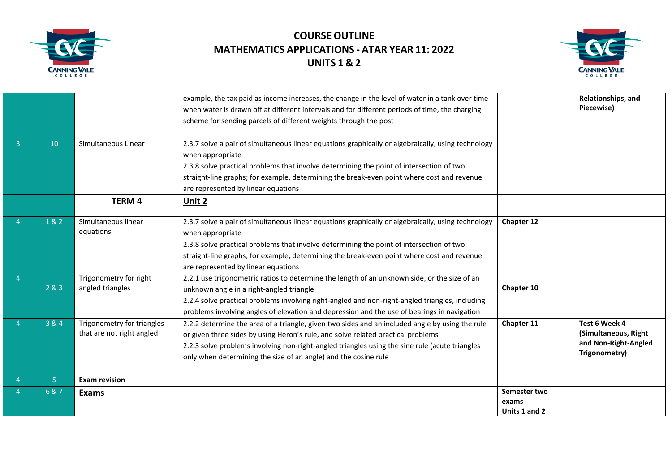



|                |                                                         | example, the tax paid as income increases, the change in the level of water in a tank over time<br>when water is drawn off at different intervals and for different periods of time, the charging<br>scheme for sending parcels of different weights through the post                                                                                    |                                        | Relationships, and<br>Piecewise)                                               |
|----------------|---------------------------------------------------------|----------------------------------------------------------------------------------------------------------------------------------------------------------------------------------------------------------------------------------------------------------------------------------------------------------------------------------------------------------|----------------------------------------|--------------------------------------------------------------------------------|
| 10             | Simultaneous Linear                                     | 2.3.7 solve a pair of simultaneous linear equations graphically or algebraically, using technology<br>when appropriate<br>2.3.8 solve practical problems that involve determining the point of intersection of two<br>straight-line graphs; for example, determining the break-even point where cost and revenue<br>are represented by linear equations  |                                        |                                                                                |
|                | <b>TERM 4</b>                                           | Unit 2                                                                                                                                                                                                                                                                                                                                                   |                                        |                                                                                |
| 1&2            | Simultaneous linear<br>equations                        | 2.3.7 solve a pair of simultaneous linear equations graphically or algebraically, using technology<br>when appropriate<br>2.3.8 solve practical problems that involve determining the point of intersection of two<br>straight-line graphs; for example, determining the break-even point where cost and revenue<br>are represented by linear equations  | Chapter 12                             |                                                                                |
| 283            | Trigonometry for right<br>angled triangles              | 2.2.1 use trigonometric ratios to determine the length of an unknown side, or the size of an<br>unknown angle in a right-angled triangle<br>2.2.4 solve practical problems involving right-angled and non-right-angled triangles, including<br>problems involving angles of elevation and depression and the use of bearings in navigation               | Chapter 10                             |                                                                                |
| 3 & 4          | Trigonometry for triangles<br>that are not right angled | 2.2.2 determine the area of a triangle, given two sides and an included angle by using the rule<br>or given three sides by using Heron's rule, and solve related practical problems<br>2.2.3 solve problems involving non-right-angled triangles using the sine rule (acute triangles<br>only when determining the size of an angle) and the cosine rule | Chapter 11                             | Test 6 Week 4<br>(Simultaneous, Right<br>and Non-Right-Angled<br>Trigonometry) |
| 5 <sup>1</sup> | <b>Exam revision</b>                                    |                                                                                                                                                                                                                                                                                                                                                          |                                        |                                                                                |
| 6&7            | Exams                                                   |                                                                                                                                                                                                                                                                                                                                                          | Semester two<br>exams<br>Units 1 and 2 |                                                                                |